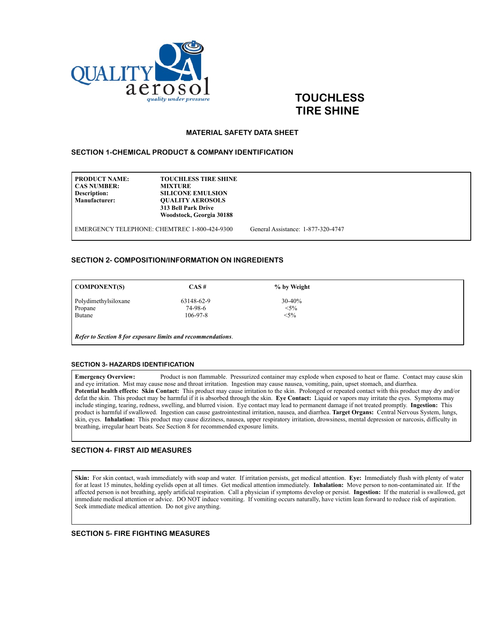

# **TOUCHLESS TIRE SHINE**

#### **MATERIAL SAFETY DATA SHEET**

#### **SECTION 1-CHEMICAL PRODUCT & COMPANY IDENTIFICATION**

**PRODUCT NAME:** TOUCHLESS TIRE SHINE<br>CAS NUMBER: MIXTURE **CAS NUMBER:**<br>Description: **Description:** SILICONE EMULSION<br>
Manufacturer: OUALITY AEROSOLS **OUALITY AEROSOLS 313 Bell Park Drive Woodstock, Georgia 30188**

EMERGENCY TELEPHONE: CHEMTREC 1-800-424-9300 General Assistance: 1-877-320-4747

#### **SECTION 2- COMPOSITION/INFORMATION ON INGREDIENTS**

| <b>COMPONENT(S)</b>  | CAS#           | % by Weight |  |
|----------------------|----------------|-------------|--|
| Polydimethylsiloxane | 63148-62-9     | $30-40%$    |  |
| Propane              | 74-98-6        | $<$ 5%      |  |
| Butane               | $106 - 97 - 8$ | $<$ 5%      |  |

*Refer to Section 8 for exposure limits and recommendations*.

#### **SECTION 3- HAZARDS IDENTIFICATION**

**Emergency Overview:** Product is non flammable. Pressurized container may explode when exposed to heat or flame. Contact may cause skin and eye irritation. Mist may cause nose and throat irritation. Ingestion may cause nausea, vomiting, pain, upset stomach, and diarrhea. **Potential health effects: Skin Contact:** This product may cause irritation to the skin. Prolonged or repeated contact with this product may dry and/or defat the skin. This product may be harmful if it is absorbed through the skin. **Eye Contact:** Liquid or vapors may irritate the eyes. Symptoms may include stinging, tearing, redness, swelling, and blurred vision. Eye contact may lead to permanent damage if not treated promptly. **Ingestion:** This product is harmful if swallowed. Ingestion can cause gastrointestinal irritation, nausea, and diarrhea. **Target Organs:** Central Nervous System, lungs, skin, eyes. **Inhalation:** This product may cause dizziness, nausea, upper respiratory irritation, drowsiness, mental depression or narcosis, difficulty in breathing, irregular heart beats. See Section 8 for recommended exposure limits.

### **SECTION 4- FIRST AID MEASURES**

**Skin:** For skin contact, wash immediately with soap and water. If irritation persists, get medical attention. **Eye:** Immediately flush with plenty of water for at least 15 minutes, holding eyelids open at all times. Get medical attention immediately. **Inhalation:** Move person to non-contaminated air. If the affected person is not breathing, apply artificial respiration. Call a physician if symptoms develop or persist. **Ingestion:** If the material is swallowed, get immediate medical attention or advice. DO NOT induce vomiting. If vomiting occurs naturally, have victim lean forward to reduce risk of aspiration. Seek immediate medical attention. Do not give anything.

**SECTION 5- FIRE FIGHTING MEASURES**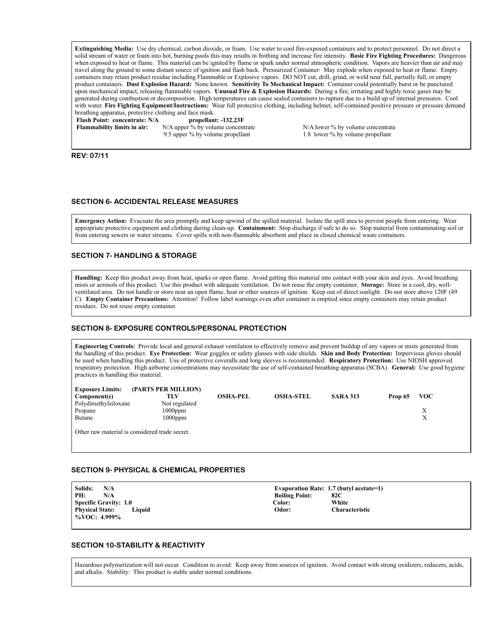**Extinguishing Media:** Use dry chemical, carbon dioxide, or foam. Use water to cool fire-exposed containers and to protect personnel. Do not direct a solid stream of water or foam into hot, burning pools this may results in frothing and increase fire intensity. **Basic Fire Fighting Procedures:** Dangerous when exposed to heat or flame. This material can be ignited by flame or spark under normal atmospheric condition. Vapors are heavier than air and may travel along the ground to some distant source of ignition and flash back. Pressurized Container: May explode when exposed to heat or flame. Empty containers may retain product residue including Flammable or Explosive vapors. DO NOT cut, drill, grind, or weld near full, partially full, or empty product containers. **Dust Explosion Hazard:** None known. **Sensitivity To Mechanical Impact:** Container could potentially burst or be punctured upon mechanical impact, releasing flammable vapors. **Unusual Fire & Explosion Hazards:** During a fire, irritating and highly toxic gases may be generated during combustion or decomposition. High temperatures can cause sealed containers to rupture due to a build up of internal pressures. Cool with water. **Fire Fighting Equipment/Instructions:** Wear full protective clothing, including helmet, self-contained positive pressure or pressure demand breathing apparatus, protective clothing and face mask.<br> **Flash Point: concentrate:** N/A<br> **propellant: -132.23F** 

**Flash Point: concentrate: N/A** 

**Flammability limits in air:** N/A upper % by volume concentrate N/A lower % by volume concentrate

9.5 upper % by volume propellant 1.8 lower % by volume propellant

**REV: 07/11**

#### **SECTION 6- ACCIDENTAL RELEASE MEASURES**

**Emergency Action:** Evacuate the area promptly and keep upwind of the spilled material. Isolate the spill area to prevent people from entering. Wear appropriate protective equipment and clothing during clean-up. **Containment:** Stop discharge if safe to do so. Stop material from contaminating soil or from entering sewers or water streams. Cover spills with non-flammable absorbent and place in closed chemical waste containers.

## **SECTION 7- HANDLING & STORAGE**

**Handling:** Keep this product away from heat, sparks or open flame. Avoid getting this material into contact with your skin and eyes. Avoid breathing mists or aerosols of this product. Use this product with adequate ventilation. Do not reuse the empty container. **Storage:** Store in a cool, dry, wellventilated area. Do not handle or store near an open flame, heat or other sources of ignition. Keep out of direct sunlight. Do not store above 120F (49 C). **Empty Container Precautions:** Attention! Follow label warnings even after container is emptied since empty containers may retain product residues. Do not reuse empty container.

#### **SECTION 8- EXPOSURE CONTROLS/PERSONAL PROTECTION**

**Engineering Controls:** Provide local and general exhaust ventilation to effectively remove and prevent buildup of any vapors or mists generated from the handling of this product. **Eye Protection:** Wear goggles or safety glasses with side shields. **Skin and Body Protection:** Impervious gloves should be used when handling this product. Use of protective coveralls and long sleeves is recommended. **Respiratory Protection:** Use NIOSH approved respiratory protection. High airborne concentrations may necessitate the use of self-contained breathing apparatus (SCBA). **General:** Use good hygiene practices in handling this material.

| <b>Exposure Limits:</b>                        | (PARTS PER MILLION) |                 |                  |                 |                       |  |
|------------------------------------------------|---------------------|-----------------|------------------|-----------------|-----------------------|--|
| Component(s)                                   | TLV                 | <b>OSHA-PEL</b> | <b>OSHA-STEL</b> | <b>SARA 313</b> | <b>VOC</b><br>Prop 65 |  |
| Polydimethylsiloxane                           | Not regulated       |                 |                  |                 |                       |  |
| Propane                                        | $1000$ ppm          |                 |                  |                 |                       |  |
| <b>Butane</b>                                  | $1000$ ppm          |                 |                  |                 |                       |  |
| Other raw material is considered trade secret. |                     |                 |                  |                 |                       |  |

#### **SECTION 9- PHYSICAL & CHEMICAL PROPERTIES**

**Solids:** N/A **Evaporation Rate: 1.7 (butyl acetate=1)**<br> **PH:** N/A **Boiling Point: 82C Point:** 82C<br> **Photopher** 82C<br> **Photopher Specific Gravity: 1.0** Color: Color: Color: Color: Color: Color: Color: Color: Color: Color: Color: Color: Color: Color: Color: Color: Color: Color: Color: Color: Color: Color: Color: Color: Color: Color: Color: Color: Co **Physical State: Liquid Odor: Characteristic %VOC: 4.999%** 

#### **SECTION 10-STABILITY & REACTIVITY**

Hazardous polymerization will not occur. Condition to avoid: Keep away from sources of ignition. Avoid contact with strong oxidizers, reducers, acids, and alkalis. Stability: This product is stable under normal conditions.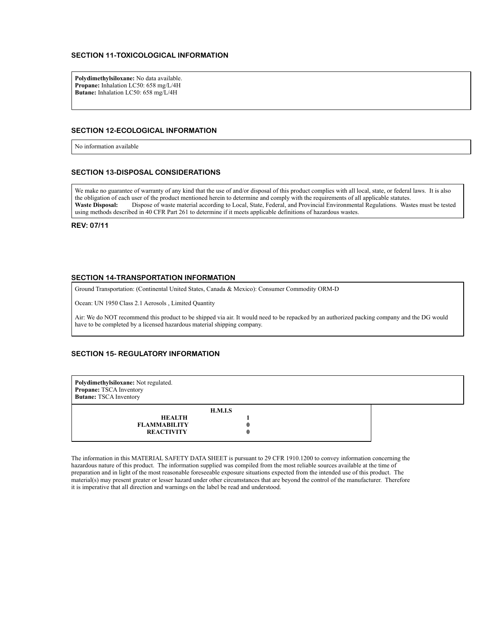### **SECTION 11-TOXICOLOGICAL INFORMATION**

**Polydimethylsiloxane:** No data available. **Propane:** Inhalation LC50: 658 mg/L/4H **Butane:** Inhalation LC50: 658 mg/L/4H

#### **SECTION 12-ECOLOGICAL INFORMATION**

No information available

#### **SECTION 13-DISPOSAL CONSIDERATIONS**

We make no guarantee of warranty of any kind that the use of and/or disposal of this product complies with all local, state, or federal laws. It is also the obligation of each user of the product mentioned herein to determine and comply with the requirements of all applicable statutes. **Waste Disposal:** Dispose of waste material according to Local, State, Federal, and Provincial Environmental Regulations. Wastes must be tested using methods described in 40 CFR Part 261 to determine if it meets applicable definitions of hazardous wastes.

**REV: 07/11**

#### **SECTION 14-TRANSPORTATION INFORMATION**

Ground Transportation: (Continental United States, Canada & Mexico): Consumer Commodity ORM-D

Ocean: UN 1950 Class 2.1 Aerosols , Limited Quantity

Air: We do NOT recommend this product to be shipped via air. It would need to be repacked by an authorized packing company and the DG would have to be completed by a licensed hazardous material shipping company.

### **SECTION 15- REGULATORY INFORMATION**

| Polydimethylsiloxane: Not regulated.<br>Propane: TSCA Inventory<br><b>Butane: TSCA Inventory</b> |  |  |  |  |  |  |
|--------------------------------------------------------------------------------------------------|--|--|--|--|--|--|
| H.M.I.S                                                                                          |  |  |  |  |  |  |
| <b>HEALTH</b>                                                                                    |  |  |  |  |  |  |
| <b>FLAMMABILITY</b>                                                                              |  |  |  |  |  |  |
| <b>REACTIVITY</b>                                                                                |  |  |  |  |  |  |

The information in this MATERIAL SAFETY DATA SHEET is pursuant to 29 CFR 1910.1200 to convey information concerning the hazardous nature of this product. The information supplied was compiled from the most reliable sources available at the time of preparation and in light of the most reasonable foreseeable exposure situations expected from the intended use of this product. The material(s) may present greater or lesser hazard under other circumstances that are beyond the control of the manufacturer. Therefore it is imperative that all direction and warnings on the label be read and understood.